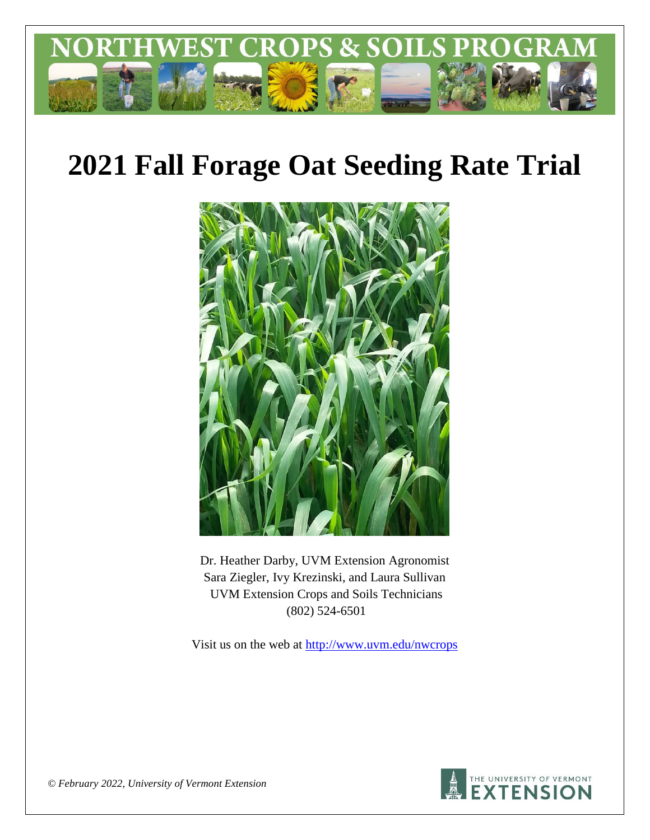

# **2021 Fall Forage Oat Seeding Rate Trial**



Dr. Heather Darby, UVM Extension Agronomist Sara Ziegler, Ivy Krezinski, and Laura Sullivan UVM Extension Crops and Soils Technicians (802) 524-6501

Visit us on the web at<http://www.uvm.edu/nwcrops>



*© February 2022, University of Vermont Extension*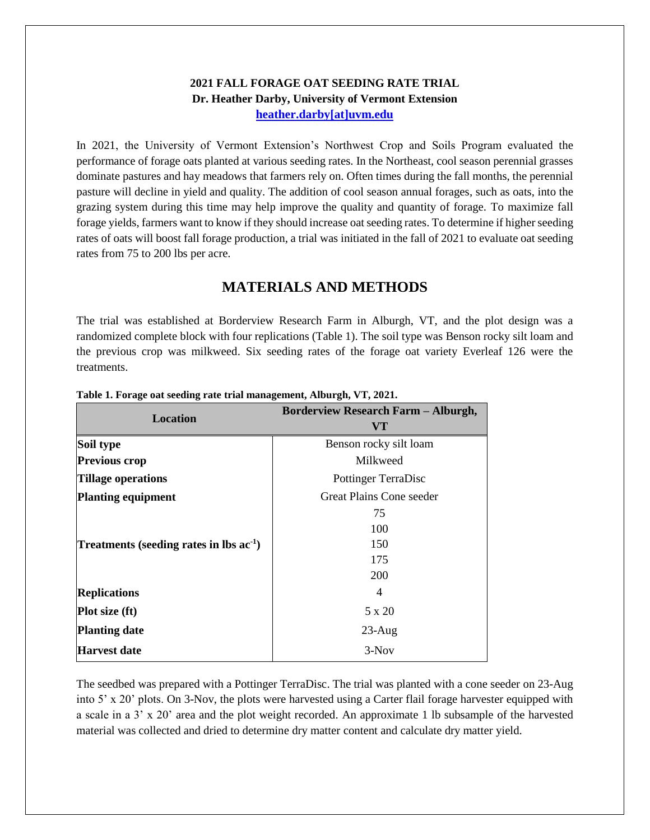#### **2021 FALL FORAGE OAT SEEDING RATE TRIAL Dr. Heather Darby, University of Vermont Extension [heather.darby\[at\]uvm.edu](mailto:heather.darby@uvm.edu?subject=2013%20Long%20Season%20Corn%20Report)**

In 2021, the University of Vermont Extension's Northwest Crop and Soils Program evaluated the performance of forage oats planted at various seeding rates. In the Northeast, cool season perennial grasses dominate pastures and hay meadows that farmers rely on. Often times during the fall months, the perennial pasture will decline in yield and quality. The addition of cool season annual forages, such as oats, into the grazing system during this time may help improve the quality and quantity of forage. To maximize fall forage yields, farmers want to know if they should increase oat seeding rates. To determine if higher seeding rates of oats will boost fall forage production, a trial was initiated in the fall of 2021 to evaluate oat seeding rates from 75 to 200 lbs per acre.

## **MATERIALS AND METHODS**

The trial was established at Borderview Research Farm in Alburgh, VT, and the plot design was a randomized complete block with four replications (Table 1). The soil type was Benson rocky silt loam and the previous crop was milkweed. Six seeding rates of the forage oat variety Everleaf 126 were the treatments.

| <b>Location</b>                           | <b>Borderview Research Farm - Alburgh,</b><br>VT |  |
|-------------------------------------------|--------------------------------------------------|--|
| Soil type                                 | Benson rocky silt loam                           |  |
| <b>Previous crop</b>                      | Milkweed                                         |  |
| <b>Tillage operations</b>                 | <b>Pottinger TerraDisc</b>                       |  |
| <b>Planting equipment</b>                 | Great Plains Cone seeder                         |  |
|                                           | 75                                               |  |
|                                           | 100                                              |  |
| Treatments (seeding rates in lbs $ac-1$ ) | 150                                              |  |
|                                           | 175                                              |  |
|                                           | 200                                              |  |
| <b>Replications</b>                       | 4                                                |  |
| <b>Plot size (ft)</b>                     | 5 x 20                                           |  |
| <b>Planting date</b>                      | $23$ -Aug                                        |  |
| <b>Harvest date</b>                       | $3-Nov$                                          |  |

#### **Table 1. Forage oat seeding rate trial management, Alburgh, VT, 2021.**

The seedbed was prepared with a Pottinger TerraDisc. The trial was planted with a cone seeder on 23-Aug into 5' x 20' plots. On 3-Nov, the plots were harvested using a Carter flail forage harvester equipped with a scale in a 3' x 20' area and the plot weight recorded. An approximate 1 lb subsample of the harvested material was collected and dried to determine dry matter content and calculate dry matter yield.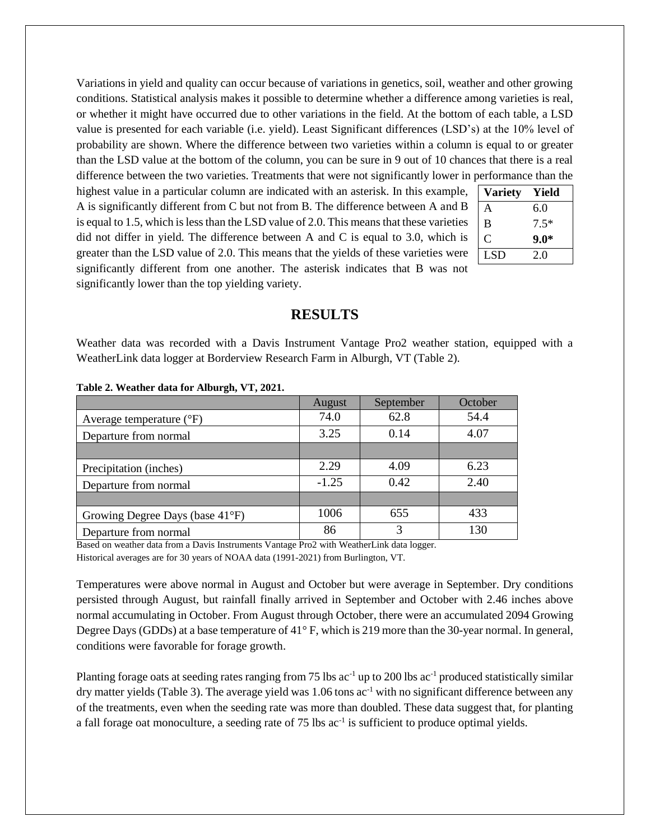Variations in yield and quality can occur because of variations in genetics, soil, weather and other growing conditions. Statistical analysis makes it possible to determine whether a difference among varieties is real, or whether it might have occurred due to other variations in the field. At the bottom of each table, a LSD value is presented for each variable (i.e. yield). Least Significant differences (LSD's) at the 10% level of probability are shown. Where the difference between two varieties within a column is equal to or greater than the LSD value at the bottom of the column, you can be sure in 9 out of 10 chances that there is a real difference between the two varieties. Treatments that were not significantly lower in performance than the

highest value in a particular column are indicated with an asterisk. In this example, A is significantly different from C but not from B. The difference between A and B is equal to 1.5, which is less than the LSD value of 2.0. This means that these varieties did not differ in yield. The difference between A and C is equal to 3.0, which is greater than the LSD value of 2.0. This means that the yields of these varieties were significantly different from one another. The asterisk indicates that B was not significantly lower than the top yielding variety.

| <b>Variety</b> | Yield  |  |  |  |
|----------------|--------|--|--|--|
| A              | 6.0    |  |  |  |
| B              | $7.5*$ |  |  |  |
| C              | $9.0*$ |  |  |  |
| <b>LSD</b>     | 2.0    |  |  |  |
|                |        |  |  |  |

#### **RESULTS**

Weather data was recorded with a Davis Instrument Vantage Pro2 weather station, equipped with a WeatherLink data logger at Borderview Research Farm in Alburgh, VT (Table 2).

|                                     | August  | September | October |
|-------------------------------------|---------|-----------|---------|
| Average temperature $({}^{\circ}F)$ | 74.0    | 62.8      | 54.4    |
| Departure from normal               | 3.25    | 0.14      | 4.07    |
|                                     |         |           |         |
| Precipitation (inches)              | 2.29    | 4.09      | 6.23    |
| Departure from normal               | $-1.25$ | 0.42      | 2.40    |
|                                     |         |           |         |
| Growing Degree Days (base 41°F)     | 1006    | 655       | 433     |
| Departure from normal               | 86      | 3         | 130     |

**Table 2. Weather data for Alburgh, VT, 2021.**

Based on weather data from a Davis Instruments Vantage Pro2 with WeatherLink data logger. Historical averages are for 30 years of NOAA data (1991-2021) from Burlington, VT.

Temperatures were above normal in August and October but were average in September. Dry conditions persisted through August, but rainfall finally arrived in September and October with 2.46 inches above normal accumulating in October. From August through October, there were an accumulated 2094 Growing Degree Days (GDDs) at a base temperature of 41° F, which is 219 more than the 30-year normal. In general, conditions were favorable for forage growth.

Planting forage oats at seeding rates ranging from 75 lbs  $ac^{-1}$  up to 200 lbs  $ac^{-1}$  produced statistically similar dry matter yields (Table 3). The average yield was 1.06 tons ac<sup>-1</sup> with no significant difference between any of the treatments, even when the seeding rate was more than doubled. These data suggest that, for planting a fall forage oat monoculture, a seeding rate of 75 lbs ac<sup>-1</sup> is sufficient to produce optimal yields.